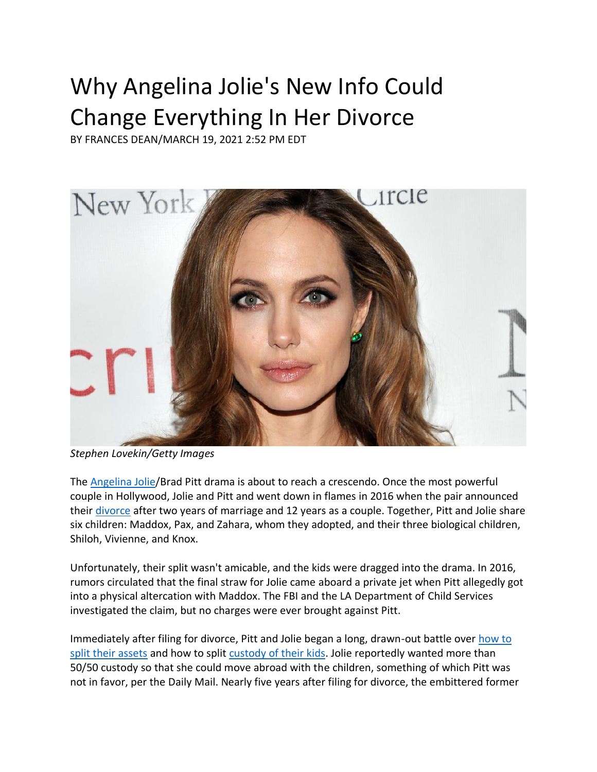## Why Angelina Jolie's New Info Could Change Everything In Her Divorce

BY FRANCES DEAN/MARCH 19, 2021 2:52 PM EDT



*Stephen Lovekin/Getty Images*

The **Angelina Jolie/Brad Pitt drama is about to reach a crescendo. Once the most powerful** couple in Hollywood, Jolie and Pitt and went down in flames in 2016 when the pair announced their [divorce](https://developwm.wpengine.com/family-law-practice-areas/divorce-process/) after two years of marriage and 12 years as a couple. Together, Pitt and Jolie share six children: Maddox, Pax, and Zahara, whom they adopted, and their three biological children, Shiloh, Vivienne, and Knox.

Unfortunately, their split wasn't amicable, and the kids were dragged into the drama. In 2016, rumors circulated that the final straw for Jolie came aboard a private jet when Pitt allegedly got into a physical altercation with Maddox. The FBI and the LA Department of Child Services investigated the claim, but no charges were ever brought against Pitt.

Immediately after filing for divorce, Pitt and Jolie began a long, drawn-out battle ove[r how to](https://developwm.wpengine.com/family-law-practice-areas/property-division/)  [split their assets](https://developwm.wpengine.com/family-law-practice-areas/property-division/) and how to split [custody of their kids.](https://developwm.wpengine.com/family-law-practice-areas/custody-litigation/) Jolie reportedly wanted more than 50/50 custody so that she could move abroad with the children, something of which Pitt was not in favor, per the Daily Mail. Nearly five years after filing for divorce, the embittered former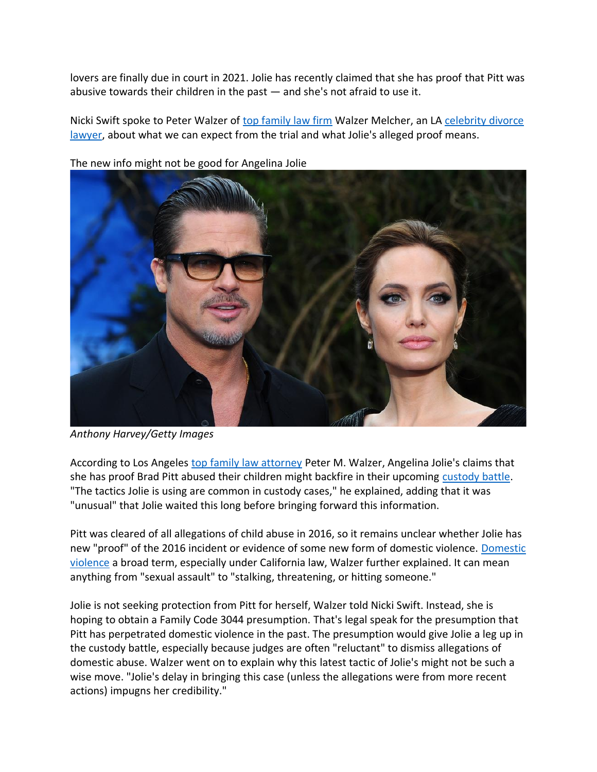lovers are finally due in court in 2021. Jolie has recently claimed that she has proof that Pitt was abusive towards their children in the past — and she's not afraid to use it.

Nicki Swift spoke to Peter Walzer of [top family law firm](https://developwm.wpengine.com/news/walzer-melcher-named-best-family-law-firm-in-2020-by-chambers-partners/) Walzer Melcher, an LA [celebrity divorce](https://developwm.wpengine.com/portfolio/peter-m-walzer-celebrity-divorce-lawyer/)  [lawyer,](https://developwm.wpengine.com/portfolio/peter-m-walzer-celebrity-divorce-lawyer/) about what we can expect from the trial and what Jolie's alleged proof means.



The new info might not be good for Angelina Jolie

*Anthony Harvey/Getty Images*

According to Los Angeles [top family law attorney](https://developwm.wpengine.com/news/celebrity-divorce-lawyer-peter-m-walzer-awarded-acfls-hall-of-fame-award-2020/) Peter M. Walzer, Angelina Jolie's claims that she has proof Brad Pitt abused their children might backfire in their upcoming [custody battle.](https://developwm.wpengine.com/family-law-practice-areas/custody-litigation/) "The tactics Jolie is using are common in custody cases," he explained, adding that it was "unusual" that Jolie waited this long before bringing forward this information.

Pitt was cleared of all allegations of child abuse in 2016, so it remains unclear whether Jolie has new "proof" of the 2016 incident or evidence of some new form of domestic violence. [Domestic](https://developwm.wpengine.com/news/j-m-v-w-t-domestic-violence/)  [violence](https://developwm.wpengine.com/news/j-m-v-w-t-domestic-violence/) a broad term, especially under California law, Walzer further explained. It can mean anything from "sexual assault" to "stalking, threatening, or hitting someone."

Jolie is not seeking protection from Pitt for herself, Walzer told Nicki Swift. Instead, she is hoping to obtain a Family Code 3044 presumption. That's legal speak for the presumption that Pitt has perpetrated domestic violence in the past. The presumption would give Jolie a leg up in the custody battle, especially because judges are often "reluctant" to dismiss allegations of domestic abuse. Walzer went on to explain why this latest tactic of Jolie's might not be such a wise move. "Jolie's delay in bringing this case (unless the allegations were from more recent actions) impugns her credibility."